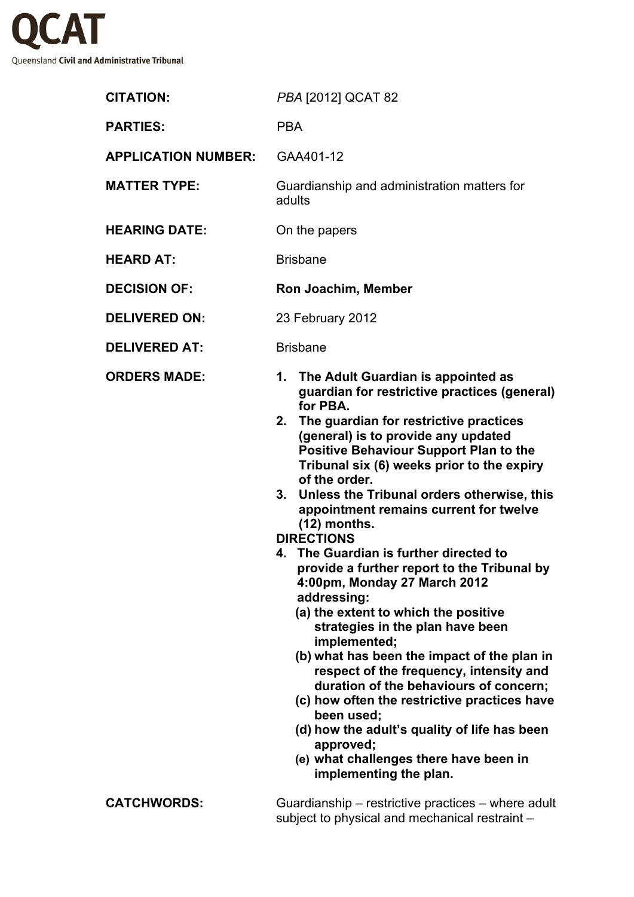

| <b>CITATION:</b>           | PBA [2012] QCAT 82                                                                                                                                                                                                                                                                                                                                                                                                                                                                                                                                                                                                                                                                                                                                                                                                                                                                                                                                                                                                |
|----------------------------|-------------------------------------------------------------------------------------------------------------------------------------------------------------------------------------------------------------------------------------------------------------------------------------------------------------------------------------------------------------------------------------------------------------------------------------------------------------------------------------------------------------------------------------------------------------------------------------------------------------------------------------------------------------------------------------------------------------------------------------------------------------------------------------------------------------------------------------------------------------------------------------------------------------------------------------------------------------------------------------------------------------------|
| <b>PARTIES:</b>            | <b>PBA</b>                                                                                                                                                                                                                                                                                                                                                                                                                                                                                                                                                                                                                                                                                                                                                                                                                                                                                                                                                                                                        |
| <b>APPLICATION NUMBER:</b> | GAA401-12                                                                                                                                                                                                                                                                                                                                                                                                                                                                                                                                                                                                                                                                                                                                                                                                                                                                                                                                                                                                         |
| <b>MATTER TYPE:</b>        | Guardianship and administration matters for<br>adults                                                                                                                                                                                                                                                                                                                                                                                                                                                                                                                                                                                                                                                                                                                                                                                                                                                                                                                                                             |
| <b>HEARING DATE:</b>       | On the papers                                                                                                                                                                                                                                                                                                                                                                                                                                                                                                                                                                                                                                                                                                                                                                                                                                                                                                                                                                                                     |
| <b>HEARD AT:</b>           | <b>Brisbane</b>                                                                                                                                                                                                                                                                                                                                                                                                                                                                                                                                                                                                                                                                                                                                                                                                                                                                                                                                                                                                   |
| <b>DECISION OF:</b>        | Ron Joachim, Member                                                                                                                                                                                                                                                                                                                                                                                                                                                                                                                                                                                                                                                                                                                                                                                                                                                                                                                                                                                               |
| <b>DELIVERED ON:</b>       | 23 February 2012                                                                                                                                                                                                                                                                                                                                                                                                                                                                                                                                                                                                                                                                                                                                                                                                                                                                                                                                                                                                  |
| <b>DELIVERED AT:</b>       | <b>Brisbane</b>                                                                                                                                                                                                                                                                                                                                                                                                                                                                                                                                                                                                                                                                                                                                                                                                                                                                                                                                                                                                   |
| <b>ORDERS MADE:</b>        | 1. The Adult Guardian is appointed as<br>guardian for restrictive practices (general)<br>for PBA.<br>The guardian for restrictive practices<br>2.<br>(general) is to provide any updated<br><b>Positive Behaviour Support Plan to the</b><br>Tribunal six (6) weeks prior to the expiry<br>of the order.<br>3. Unless the Tribunal orders otherwise, this<br>appointment remains current for twelve<br>$(12)$ months.<br><b>DIRECTIONS</b><br>4. The Guardian is further directed to<br>provide a further report to the Tribunal by<br>4:00pm, Monday 27 March 2012<br>addressing:<br>(a) the extent to which the positive<br>strategies in the plan have been<br>implemented;<br>(b) what has been the impact of the plan in<br>respect of the frequency, intensity and<br>duration of the behaviours of concern;<br>(c) how often the restrictive practices have<br>been used;<br>(d) how the adult's quality of life has been<br>approved;<br>(e) what challenges there have been in<br>implementing the plan. |
| <b>CATCHWORDS:</b>         | Guardianship – restrictive practices – where adult<br>subject to physical and mechanical restraint -                                                                                                                                                                                                                                                                                                                                                                                                                                                                                                                                                                                                                                                                                                                                                                                                                                                                                                              |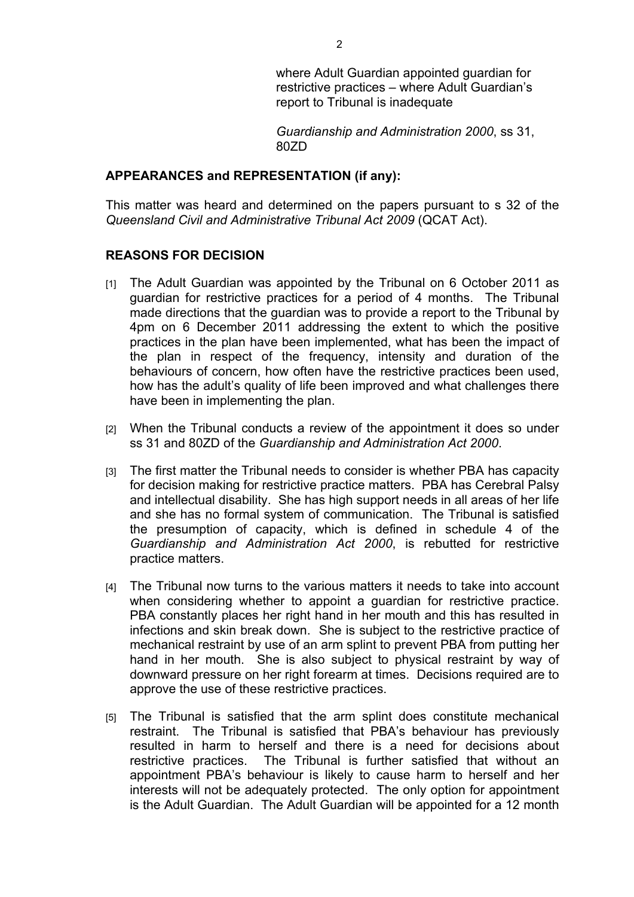where Adult Guardian appointed guardian for restrictive practices – where Adult Guardian's report to Tribunal is inadequate

*Guardianship and Administration 2000*, ss 31, 80ZD

## **APPEARANCES and REPRESENTATION (if any):**

This matter was heard and determined on the papers pursuant to s 32 of the *Queensland Civil and Administrative Tribunal Act 2009* (QCAT Act).

## **REASONS FOR DECISION**

- [1] The Adult Guardian was appointed by the Tribunal on 6 October 2011 as guardian for restrictive practices for a period of 4 months. The Tribunal made directions that the guardian was to provide a report to the Tribunal by 4pm on 6 December 2011 addressing the extent to which the positive practices in the plan have been implemented, what has been the impact of the plan in respect of the frequency, intensity and duration of the behaviours of concern, how often have the restrictive practices been used, how has the adult's quality of life been improved and what challenges there have been in implementing the plan.
- [2] When the Tribunal conducts a review of the appointment it does so under ss 31 and 80ZD of the *Guardianship and Administration Act 2000*.
- [3] The first matter the Tribunal needs to consider is whether PBA has capacity for decision making for restrictive practice matters. PBA has Cerebral Palsy and intellectual disability. She has high support needs in all areas of her life and she has no formal system of communication. The Tribunal is satisfied the presumption of capacity, which is defined in schedule 4 of the *Guardianship and Administration Act 2000*, is rebutted for restrictive practice matters.
- [4] The Tribunal now turns to the various matters it needs to take into account when considering whether to appoint a guardian for restrictive practice. PBA constantly places her right hand in her mouth and this has resulted in infections and skin break down. She is subject to the restrictive practice of mechanical restraint by use of an arm splint to prevent PBA from putting her hand in her mouth. She is also subject to physical restraint by way of downward pressure on her right forearm at times. Decisions required are to approve the use of these restrictive practices.
- [5] The Tribunal is satisfied that the arm splint does constitute mechanical restraint. The Tribunal is satisfied that PBA's behaviour has previously resulted in harm to herself and there is a need for decisions about restrictive practices. The Tribunal is further satisfied that without an appointment PBA's behaviour is likely to cause harm to herself and her interests will not be adequately protected. The only option for appointment is the Adult Guardian. The Adult Guardian will be appointed for a 12 month